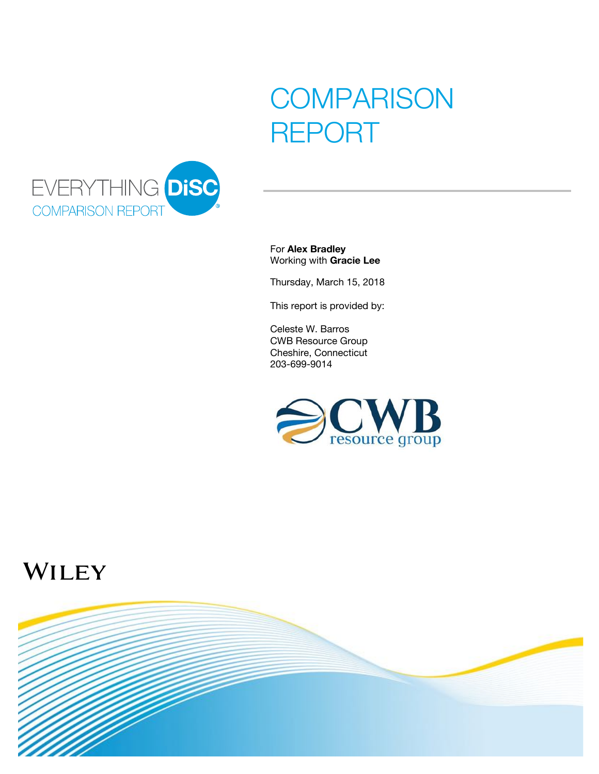## **COMPARISON** REPORT



For Alex Bradley Working with Gracie Lee

Thursday, March 15, 2018

This report is provided by:

Celeste W. Barros CWB Resource Group Cheshire, Connecticut 203-699-9014



## WILEY

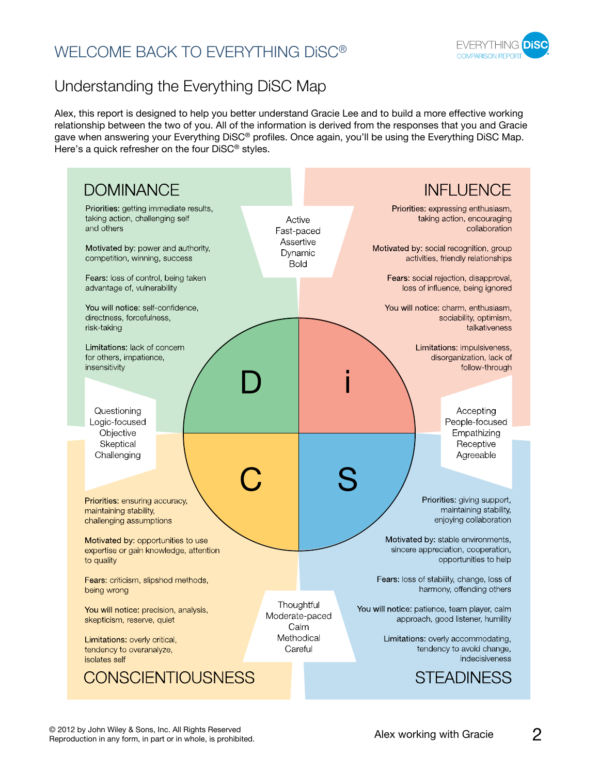## WELCOME BACK TO EVERYTHING DiSC®



## Understanding the Everything DiSC Map

Alex, this report is designed to help you better understand Gracie Lee and to build a more effective working relationship between the two of you. All of the information is derived from the responses that you and Gracie gave when answering your Everything DiSC® profiles. Once again, you'll be using the Everything DiSC Map. Here's a quick refresher on the four DiSC® styles.

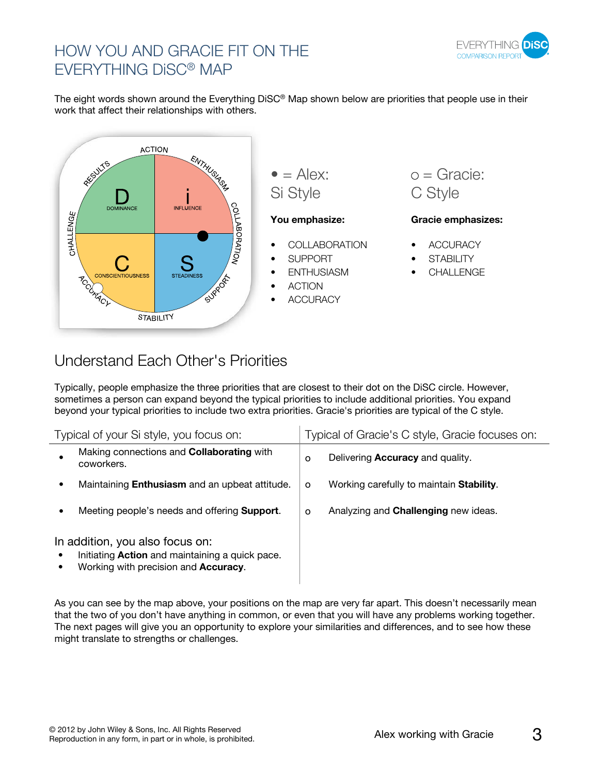

## HOW YOU AND GRACIE FIT ON THE EVERYTHING DiSC® MAP

The eight words shown around the Everything DiSC® Map shown below are priorities that people use in their work that affect their relationships with others.



#### You emphasize: Gracie emphasizes:

- **ACCURACY**
- **STABILITY**
- **CHALLENGE**

### Understand Each Other's Priorities

Typically, people emphasize the three priorities that are closest to their dot on the DiSC circle. However, sometimes a person can expand beyond the typical priorities to include additional priorities. You expand beyond your typical priorities to include two extra priorities. Gracie's priorities are typical of the C style.

| Typical of your Si style, you focus on:                                                                                    |                                                                | Typical of Gracie's C style, Gracie focuses on: |                                                  |
|----------------------------------------------------------------------------------------------------------------------------|----------------------------------------------------------------|-------------------------------------------------|--------------------------------------------------|
|                                                                                                                            | Making connections and <b>Collaborating</b> with<br>coworkers. | O                                               | Delivering <b>Accuracy</b> and quality.          |
|                                                                                                                            | Maintaining <b>Enthusiasm</b> and an upbeat attitude.          | $\circ$                                         | Working carefully to maintain <b>Stability</b> . |
|                                                                                                                            | Meeting people's needs and offering <b>Support</b> .           | $\circ$                                         | Analyzing and <b>Challenging</b> new ideas.      |
| In addition, you also focus on:<br>Initiating Action and maintaining a quick pace.<br>Working with precision and Accuracy. |                                                                |                                                 |                                                  |

As you can see by the map above, your positions on the map are very far apart. This doesn't necessarily mean that the two of you don't have anything in common, or even that you will have any problems working together. The next pages will give you an opportunity to explore your similarities and differences, and to see how these might translate to strengths or challenges.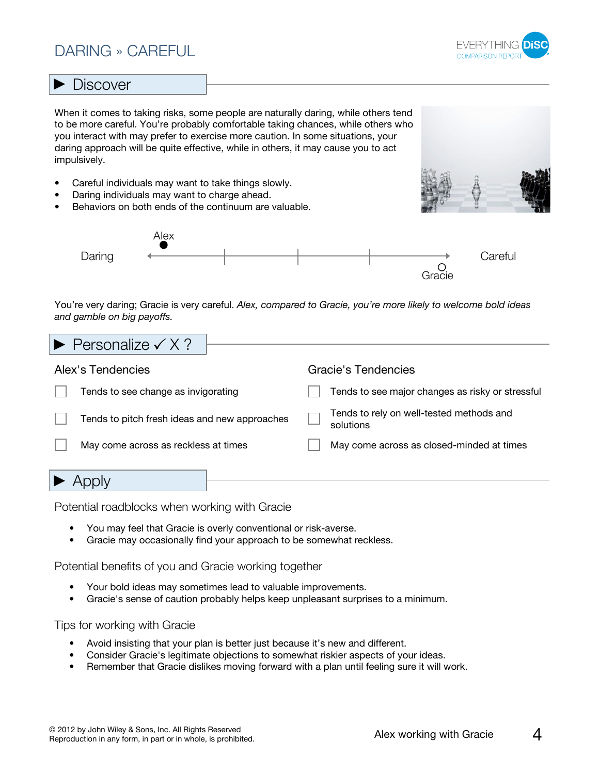### DARING » CAREFUL



#### **Discover**

When it comes to taking risks, some people are naturally daring, while others tend to be more careful. You're probably comfortable taking chances, while others who you interact with may prefer to exercise more caution. In some situations, your daring approach will be quite effective, while in others, it may cause you to act impulsively.

- Careful individuals may want to take things slowly.
- Daring individuals may want to charge ahead.
- Behaviors on both ends of the continuum are valuable.





You're very daring; Gracie is very careful. *Alex, compared to Gracie, you're more likely to welcome bold ideas and gamble on big payoffs.*

| $\blacktriangleright$ Personalize $\checkmark$ X ? |                                                       |  |
|----------------------------------------------------|-------------------------------------------------------|--|
| Alex's Tendencies                                  | Gracie's Tendencies                                   |  |
| Tends to see change as invigorating                | Tends to see major changes as risky or stressful      |  |
| Tends to pitch fresh ideas and new approaches      | Tends to rely on well-tested methods and<br>solutions |  |
| May come across as reckless at times               | May come across as closed-minded at times             |  |
|                                                    |                                                       |  |

Potential roadblocks when working with Gracie

- You may feel that Gracie is overly conventional or risk-averse.
- Gracie may occasionally find your approach to be somewhat reckless.

Potential benefits of you and Gracie working together

- Your bold ideas may sometimes lead to valuable improvements.
- Gracie's sense of caution probably helps keep unpleasant surprises to a minimum.

- Avoid insisting that your plan is better just because it's new and different.
- Consider Gracie's legitimate objections to somewhat riskier aspects of your ideas.
- Remember that Gracie dislikes moving forward with a plan until feeling sure it will work.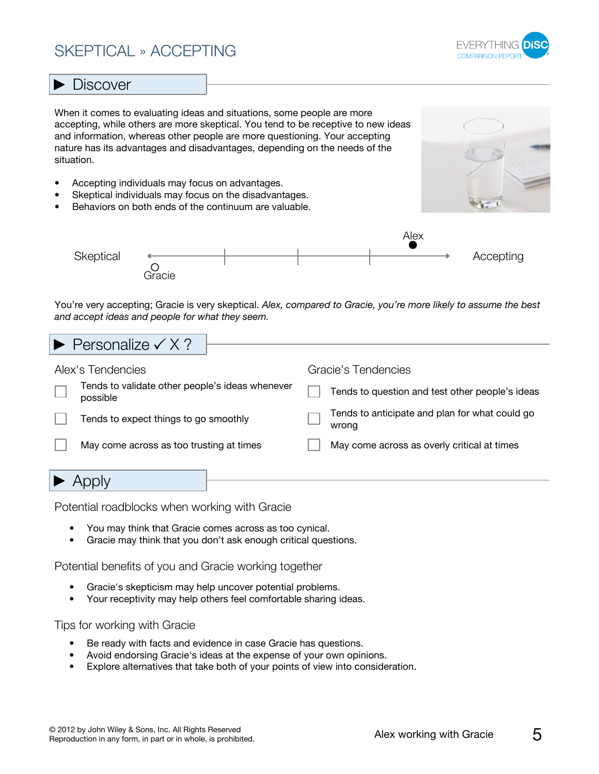## SKEPTICAL » ACCEPTING



#### **Discover**

When it comes to evaluating ideas and situations, some people are more accepting, while others are more skeptical. You tend to be receptive to new ideas and information, whereas other people are more questioning. Your accepting nature has its advantages and disadvantages, depending on the needs of the situation.

- Accepting individuals may focus on advantages.
- Skeptical individuals may focus on the disadvantages.
- Behaviors on both ends of the continuum are valuable.





You're very accepting; Gracie is very skeptical. *Alex, compared to Gracie, you're more likely to assume the best and accept ideas and people for what they seem.*

| $\blacktriangleright$ Personalize $\checkmark$ X ?          |                                                         |  |  |
|-------------------------------------------------------------|---------------------------------------------------------|--|--|
| Alex's Tendencies                                           | Gracie's Tendencies                                     |  |  |
| Tends to validate other people's ideas whenever<br>possible | Tends to question and test other people's ideas         |  |  |
| Tends to expect things to go smoothly                       | Tends to anticipate and plan for what could go<br>wrona |  |  |
| May come across as too trusting at times                    | May come across as overly critical at times             |  |  |
|                                                             |                                                         |  |  |

Potential roadblocks when working with Gracie

- You may think that Gracie comes across as too cynical.
- Gracie may think that you don't ask enough critical questions.

Potential benefits of you and Gracie working together

- Gracie's skepticism may help uncover potential problems.
- Your receptivity may help others feel comfortable sharing ideas.

- Be ready with facts and evidence in case Gracie has questions.
- Avoid endorsing Gracie's ideas at the expense of your own opinions.
- Explore alternatives that take both of your points of view into consideration.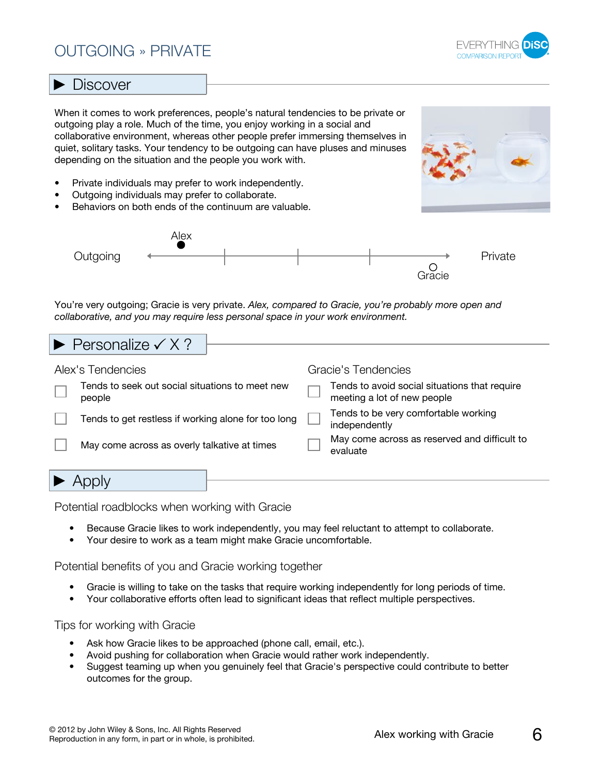## OUTGOING » PRIVATE



#### **Discover**

When it comes to work preferences, people's natural tendencies to be private or outgoing play a role. Much of the time, you enjoy working in a social and collaborative environment, whereas other people prefer immersing themselves in quiet, solitary tasks. Your tendency to be outgoing can have pluses and minuses depending on the situation and the people you work with.

- Private individuals may prefer to work independently.
- Outgoing individuals may prefer to collaborate.
- Behaviors on both ends of the continuum are valuable.





You're very outgoing; Gracie is very private. *Alex, compared to Gracie, you're probably more open and collaborative, and you may require less personal space in your work environment.*

| Alex's Tendencies<br>Gracie's Tendencies                                                                                                  |                                                    |  |  |  |  |
|-------------------------------------------------------------------------------------------------------------------------------------------|----------------------------------------------------|--|--|--|--|
|                                                                                                                                           | $\blacktriangleright$ Personalize $\checkmark$ X ? |  |  |  |  |
|                                                                                                                                           |                                                    |  |  |  |  |
| Tends to seek out social situations to meet new<br>Tends to avoid social situations that require<br>meeting a lot of new people<br>people |                                                    |  |  |  |  |
| Tends to be very comfortable working<br>Tends to get restless if working alone for too long<br>independently                              |                                                    |  |  |  |  |
| May come across as reserved and difficult to<br>May come across as overly talkative at times<br>evaluate                                  |                                                    |  |  |  |  |
|                                                                                                                                           |                                                    |  |  |  |  |
|                                                                                                                                           |                                                    |  |  |  |  |

Potential roadblocks when working with Gracie

- Because Gracie likes to work independently, you may feel reluctant to attempt to collaborate.
- Your desire to work as a team might make Gracie uncomfortable.

Potential benefits of you and Gracie working together

- Gracie is willing to take on the tasks that require working independently for long periods of time.
- Your collaborative efforts often lead to significant ideas that reflect multiple perspectives.

- Ask how Gracie likes to be approached (phone call, email, etc.).
- Avoid pushing for collaboration when Gracie would rather work independently.
- Suggest teaming up when you genuinely feel that Gracie's perspective could contribute to better outcomes for the group.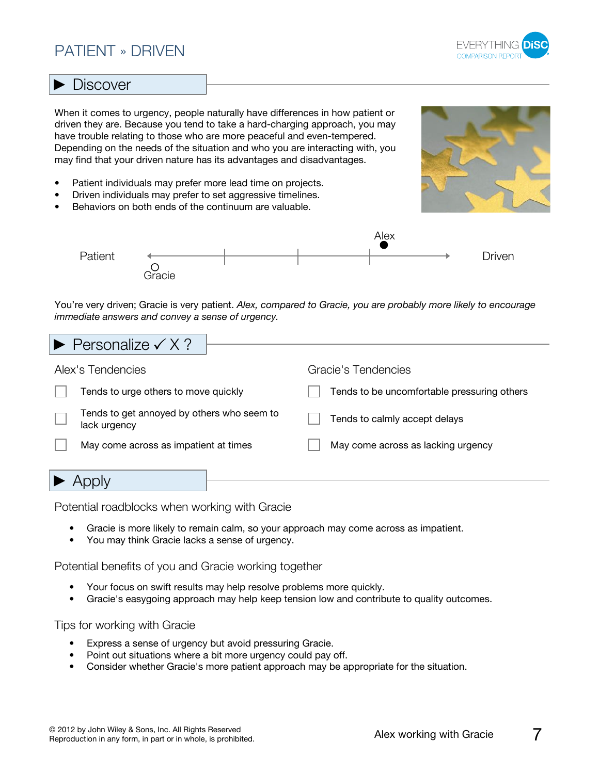### PATIENT » DRIVEN



#### **Discover**

When it comes to urgency, people naturally have differences in how patient or driven they are. Because you tend to take a hard-charging approach, you may have trouble relating to those who are more peaceful and even-tempered. Depending on the needs of the situation and who you are interacting with, you may find that your driven nature has its advantages and disadvantages.

- Patient individuals may prefer more lead time on projects.
- Driven individuals may prefer to set aggressive timelines.
- Behaviors on both ends of the continuum are valuable.





You're very driven; Gracie is very patient. *Alex, compared to Gracie, you are probably more likely to encourage immediate answers and convey a sense of urgency.*

| Personalize $\checkmark$ X ?                               |                                             |  |  |
|------------------------------------------------------------|---------------------------------------------|--|--|
| Alex's Tendencies                                          | Gracie's Tendencies                         |  |  |
| Tends to urge others to move quickly                       | Tends to be uncomfortable pressuring others |  |  |
| Tends to get annoyed by others who seem to<br>lack urgency | Tends to calmly accept delays               |  |  |
| May come across as impatient at times                      | May come across as lacking urgency          |  |  |
|                                                            |                                             |  |  |

 $\blacktriangleright$  Apply

Potential roadblocks when working with Gracie

- Gracie is more likely to remain calm, so your approach may come across as impatient.
- You may think Gracie lacks a sense of urgency.

Potential benefits of you and Gracie working together

- Your focus on swift results may help resolve problems more quickly.
- Gracie's easygoing approach may help keep tension low and contribute to quality outcomes.

- Express a sense of urgency but avoid pressuring Gracie.
- Point out situations where a bit more urgency could pay off.
- Consider whether Gracie's more patient approach may be appropriate for the situation.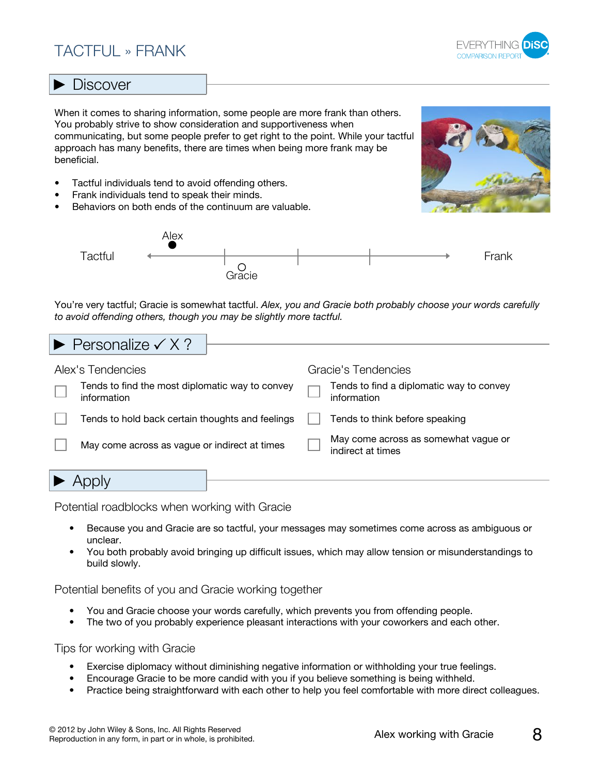## TACTFUL » FRANK



#### **Discover**

When it comes to sharing information, some people are more frank than others. You probably strive to show consideration and supportiveness when communicating, but some people prefer to get right to the point. While your tactful approach has many benefits, there are times when being more frank may be beneficial.

- Tactful individuals tend to avoid offending others.
- Frank individuals tend to speak their minds.
- Behaviors on both ends of the continuum are valuable.





You're very tactful; Gracie is somewhat tactful. *Alex, you and Gracie both probably choose your words carefully to avoid offending others, though you may be slightly more tactful.*

# Personalize  $\checkmark$  X ?

| Alex's Tendencies |                                                                | Gracie's Tendencies |                                                           |
|-------------------|----------------------------------------------------------------|---------------------|-----------------------------------------------------------|
|                   | Tends to find the most diplomatic way to convey<br>information |                     | Tends to find a diplomatic way to convey<br>information   |
|                   | Tends to hold back certain thoughts and feelings               |                     | Tends to think before speaking                            |
|                   | May come across as vague or indirect at times                  |                     | May come across as somewhat vague or<br>indirect at times |
|                   |                                                                |                     |                                                           |

▶ Apply

- Potential roadblocks when working with Gracie
	- Because you and Gracie are so tactful, your messages may sometimes come across as ambiguous or unclear.
	- You both probably avoid bringing up difficult issues, which may allow tension or misunderstandings to build slowly.

Potential benefits of you and Gracie working together

- You and Gracie choose your words carefully, which prevents you from offending people.
- The two of you probably experience pleasant interactions with your coworkers and each other.

- Exercise diplomacy without diminishing negative information or withholding your true feelings.
- Encourage Gracie to be more candid with you if you believe something is being withheld.
- Practice being straightforward with each other to help you feel comfortable with more direct colleagues.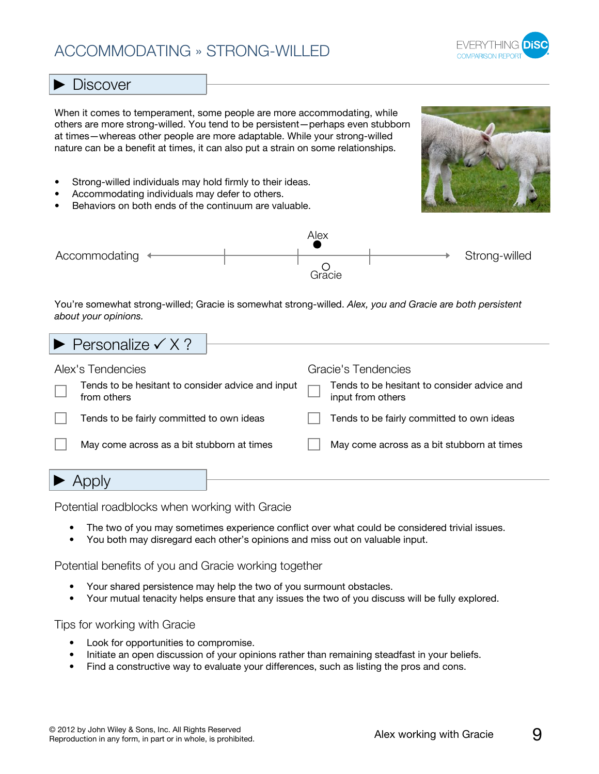## ACCOMMODATING » STRONG-WILLED



#### **Discover**

When it comes to temperament, some people are more accommodating, while others are more strong-willed. You tend to be persistent—perhaps even stubborn at times—whereas other people are more adaptable. While your strong-willed nature can be a benefit at times, it can also put a strain on some relationships.

- Strong-willed individuals may hold firmly to their ideas.
- Accommodating individuals may defer to others.
- Behaviors on both ends of the continuum are valuable.





You're somewhat strong-willed; Gracie is somewhat strong-willed. *Alex, you and Gracie are both persistent about your opinions.*

|                                                                        | $\blacktriangleright$ Personalize $\checkmark$ X ?       |                                                                    |                                                                |
|------------------------------------------------------------------------|----------------------------------------------------------|--------------------------------------------------------------------|----------------------------------------------------------------|
| Alex's Tendencies<br>Tends to be hesitant to consider advice and input |                                                          | Gracie's Tendencies<br>Tends to be hesitant to consider advice and |                                                                |
|                                                                        | from others<br>Tends to be fairly committed to own ideas |                                                                    | input from others<br>Tends to be fairly committed to own ideas |
|                                                                        | May come across as a bit stubborn at times               |                                                                    | May come across as a bit stubborn at times                     |
|                                                                        |                                                          |                                                                    |                                                                |

Potential roadblocks when working with Gracie

- The two of you may sometimes experience conflict over what could be considered trivial issues.
- You both may disregard each other's opinions and miss out on valuable input.

Potential benefits of you and Gracie working together

- Your shared persistence may help the two of you surmount obstacles.
- Your mutual tenacity helps ensure that any issues the two of you discuss will be fully explored.

- Look for opportunities to compromise.
- Initiate an open discussion of your opinions rather than remaining steadfast in your beliefs.
- Find a constructive way to evaluate your differences, such as listing the pros and cons.